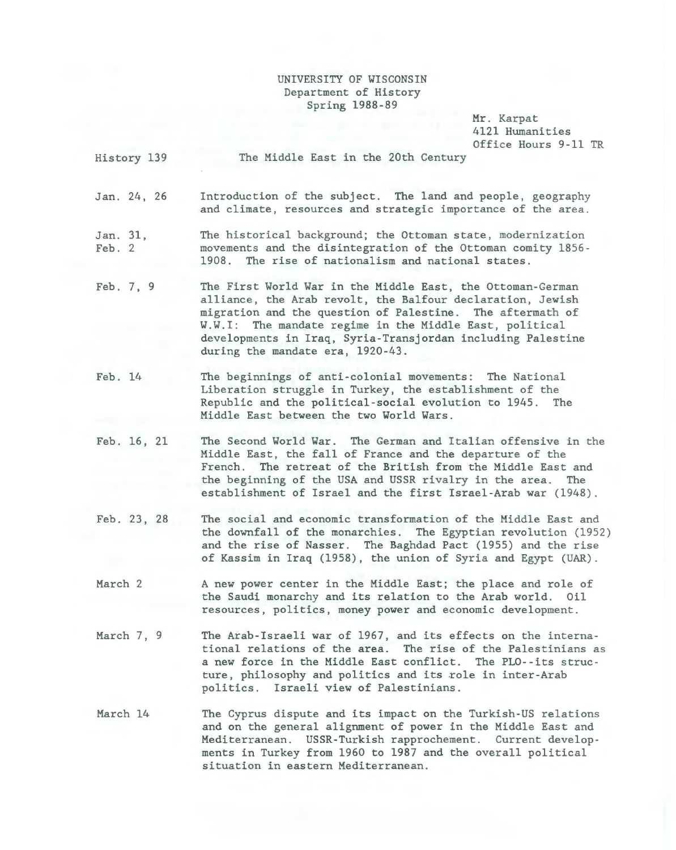## UNIVERSITY OF WISCONSIN Department of History Spring 1988-89

Mr . Karpat 4121 Humanities Office Hours 9-11 TR

|                                       | 4121 Humanities<br>Office Hours 9-11 TR                                                                                                                                                                                                                                                                                                             |
|---------------------------------------|-----------------------------------------------------------------------------------------------------------------------------------------------------------------------------------------------------------------------------------------------------------------------------------------------------------------------------------------------------|
| History 139                           | The Middle East in the 20th Century                                                                                                                                                                                                                                                                                                                 |
| Jan. 24, 26                           | Introduction of the subject. The land and people, geography<br>and climate, resources and strategic importance of the area.                                                                                                                                                                                                                         |
| Jan. 31,<br>Feb. 2                    | The historical background; the Ottoman state, modernization<br>movements and the disintegration of the Ottoman comity 1856-<br>1908. The rise of nationalism and national states.                                                                                                                                                                   |
| Feb. 7, 9                             | The First World War in the Middle East, the Ottoman-German<br>alliance, the Arab revolt, the Balfour declaration, Jewish<br>migration and the question of Palestine. The aftermath of<br>W.W.I: The mandate regime in the Middle East, political<br>developments in Iraq, Syria-Transjordan including Palestine<br>during the mandate era, 1920-43. |
| Feb. 14                               | The beginnings of anti-colonial movements: The National<br>Liberation struggle in Turkey, the establishment of the<br>Republic and the political-social evolution to 1945. The<br>Middle East between the two World Wars.                                                                                                                           |
| Feb. 16, 21                           | The Second World War. The German and Italian offensive in the<br>Middle East, the fall of France and the departure of the<br>French. The retreat of the British from the Middle East and<br>the beginning of the USA and USSR rivalry in the area. The<br>establishment of Israel and the first Israel-Arab war (1948).                             |
| $T - L$<br>$\Omega$<br>0 <sup>o</sup> | The could not consecute proceeding Committee of the MIJJ, Press and                                                                                                                                                                                                                                                                                 |

- Feb. 23, 28 The social and economic transformation of the Middle East and the downfall of the monarchies. The Egyptian revolution (1952) and the rise of Nasser. The Baghdad Pact (1955) and the rise of Kassim in Iraq (1958), the union of Syria and Egypt (UAR) .
- March 2 A new power center in the Middle East; the place and role of the Saudi monarchy and its relation to the Arab world. Oil resources, politics, money power and economic development.
- March 7, 9 The Arab-Israeli war of 1967, and its effects on the international relations of the area. The rise of the Palestinians as a new force in the Middle East conflict. The PLO--its structure, philosophy and politics and its role in inter-Arab politics. Israeli view of Palestinians.
- March 14 The Cyprus dispute and its impact on the Turkish-US relations and on the general alignment of power in the Middle East and Mediterranean. USSR-Turkish rapprochement. Current developments in Turkey from 1960 to 1987 and the overall political situation in eastern Mediterranean.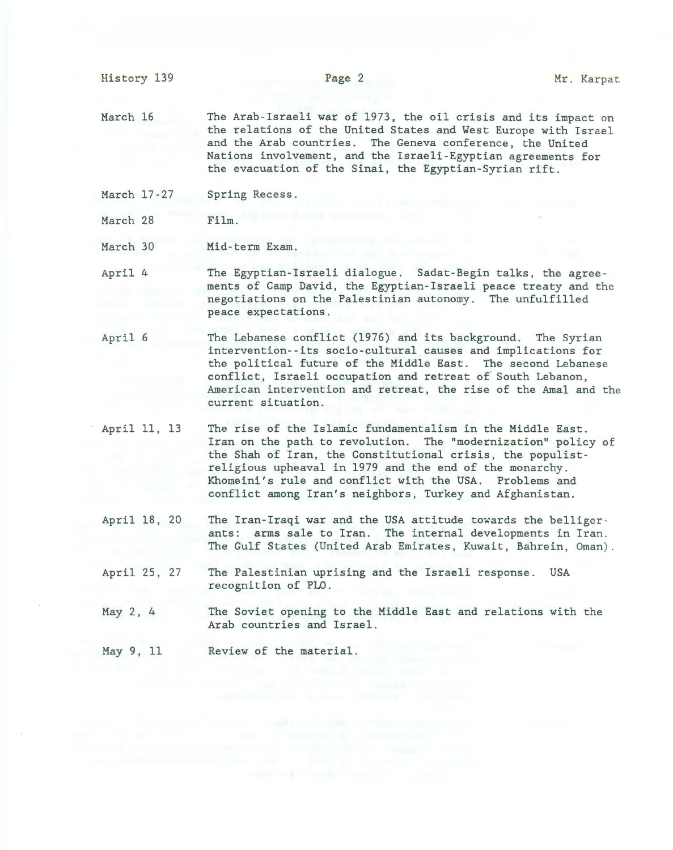History 139

March 16 The Arab-Israeli war of 1973, the oil crisis and its impact on the relations of the United States and West Europe with Israel and the Arab countries. The Geneva conference, the United Nations involvement, and the Israeli-Egyptian agreements for the evacuation of the Sinai, the Egyptian-Syrian rift.

- March 17-27 Spring Recess.
- March 28 Film.
- March 30 Mid-term Exam.
- April 4 The Egyptian-Israeli dialogue. Sadat-Begin talks, the agreements of Camp David, the Egyptian-Israeli peace treaty and the negotiations on the Palestinian autonomy. The unfulfilled peace expectations.
- April 6 The Lebanese conflict (1976) and its background. The Syrian intervention--its socio-cultural causes and implications for the political future of the Middle East. The second Lebanese conflict, Israeli occupation and retreat of South Lebanon, American intervention and retreat, the rise of the Amal and the current situation.
- April 11, 13 The rise of the Islamic fundamentalism in the Middle East. Iran on the path to revolution. The "modernization" policy of the Shah of Iran, the Constitutional crisis, the populistreligious upheaval in 1979 and the end of the monarchy. Khomeini's rule and conflict with the USA. Problems and conflict among Iran's neighbors, Turkey and Afghanistan.
- April 18, 20 The Iran-Iraqi war and the USA attitude towards the belligerants: arms sale to Iran. The internal developments in Iran. The Gulf States (United Arab Emirates, Kuwait, Bahrein, Oman).
- April 25, 27 The Palestinian uprising and the Israeli response. USA recognition of PLO.
- May 2, 4 The Soviet opening to the Middle East and relations with the Arab countries and Israel.
- May 9, 11 Review of the material.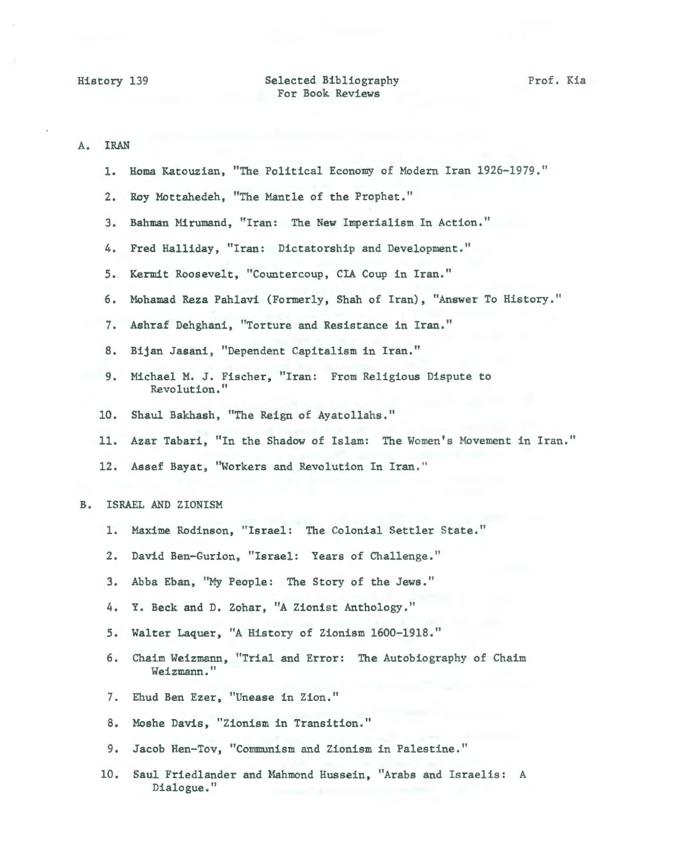## Selected Bibliography For Book Reviews

| Α.             | <b>IRAN</b>        |                                                                            |
|----------------|--------------------|----------------------------------------------------------------------------|
|                | ı.                 | Homa Katouzian, "The Political Economy of Modern Iran 1926-1979."          |
|                | 2.                 | Roy Mottahedeh, "The Mantle of the Prophet."                               |
|                | 3.                 | Bahman Mirumand, "Iran: The New Imperialism In Action."                    |
|                | 4.                 | Fred Halliday, "Iran: Dictatorship and Development."                       |
|                |                    | 5. Kermit Roosevelt, "Countercoup, CIA Coup in Iran."                      |
|                | 6.                 | Mohamad Reza Pahlavi (Formerly, Shah of Iran), "Answer To History."        |
|                | 7.                 | Ashraf Dehghani, "Torture and Resistance in Iran."                         |
|                | 8.                 | Bijan Jasani, "Dependent Capitalism in Iran."                              |
|                | 9.                 | Michael M. J. Fischer, "Iran: From Religious Dispute to<br>Revolution."    |
|                | 10.                | Shaul Bakhash, "The Reign of Ayatollahs."                                  |
|                | 11.                | Azar Tabari, "In the Shadow of Islam: The Women's Movement in Iran."       |
|                | 12.                | Assef Bayat, "Workers and Revolution In Iran."                             |
| B <sub>o</sub> | ISRAEL AND ZIONISM |                                                                            |
|                | ı.                 | Maxime Rodinson, "Israel: The Colonial Settler State."                     |
|                | 2.                 | David Ben-Gurion, "Israel: Years of Challenge."                            |
|                |                    |                                                                            |
|                | 3.                 | Abba Eban, "My People: The Story of the Jews."                             |
|                | 4.                 | Y. Beck and D. Zohar, "A Zionist Anthology."                               |
|                | 5.                 | Walter Laquer, "A History of Zionism 1600-1918."                           |
|                | 6.                 | Chaim Weizmann, "Trial and Error: The Autobiography of Chaim<br>Weizmann." |
|                | 7.                 | Ehud Ben Ezer, "Unease in Zion."                                           |
|                | 8.                 | Moshe Davis, "Zionism in Transition."                                      |

10. Saul Friedlander and Mahmond Hussein, "Arabs and Israelis: A Dialogue."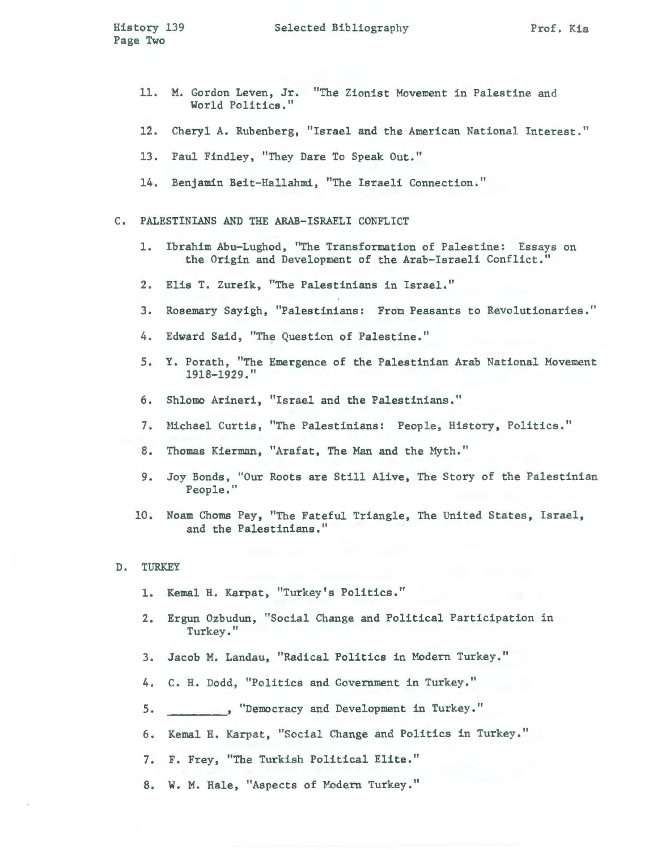- 11. M. Gordon Leven, Jr. "The Zionist Movement in Palestine and World Politics."
- 12. Cheryl A. Rubenberg, "Israel and the American National Interest . "
- 13. Paul Findley, "They Dare To Speak Out."
- 14. Benjamin Beit-Hallahmi, "The Israeli Connection."
- C. PALESTINIANS AND THE ARAB-ISRAELI CONFLICT
	- 1. Ibrahim Abu-Lughod, "The Transformation of Palestine: Essays on the Origin and Development of the Arab-Israeli Conflict."
	- 2. Elis T. Zureik, "The Palestinians in Israel."
	- 3. Rosemary Sayigh, "Palestinians: From Peasants to Revolutionaries."
	- 4. Edward Said, "The Question of Palestine."
	- 5. Y. Porath, "The Emergence of the Palestinian Arab National Movement 1918-1929."
	- 6. Shlomo Arineri, "Israel and the Palestinians."
	- 7. Michael Curtis, "The Palestinians: People, History, Politics."
	- 8. Thomas Kierman, "Arafat, The Man and the Hyth."
	- 9. Joy Bonds, "Our Roots are Still Alive, The Story of the Palestinian People."
	- 10. Noam Choms Pey, "The Fateful Triangle, The United States, Israel, and the Palestinians."

## D. TURKEY

- 1. Kemal H. Karpat, "Turkey's Politics."
- 2. Ergun Ozbudun, "Social Change and Political Participation in Turkey."
- 3. Jacob M. Landau, "Radical Politics in Modern Turkey."
- 4. C. H. Dodd, "Politics and Government in Turkey."
- 5. , "Democracy and Development in Turkey."
- 6. Kemal H. Karpat, "Social Change and Politics in Turkey. "
- 7. F. Frey, "The Turkish Political Elite."
- 8. W. M. Hale, "Aspects of Modern Turkey."